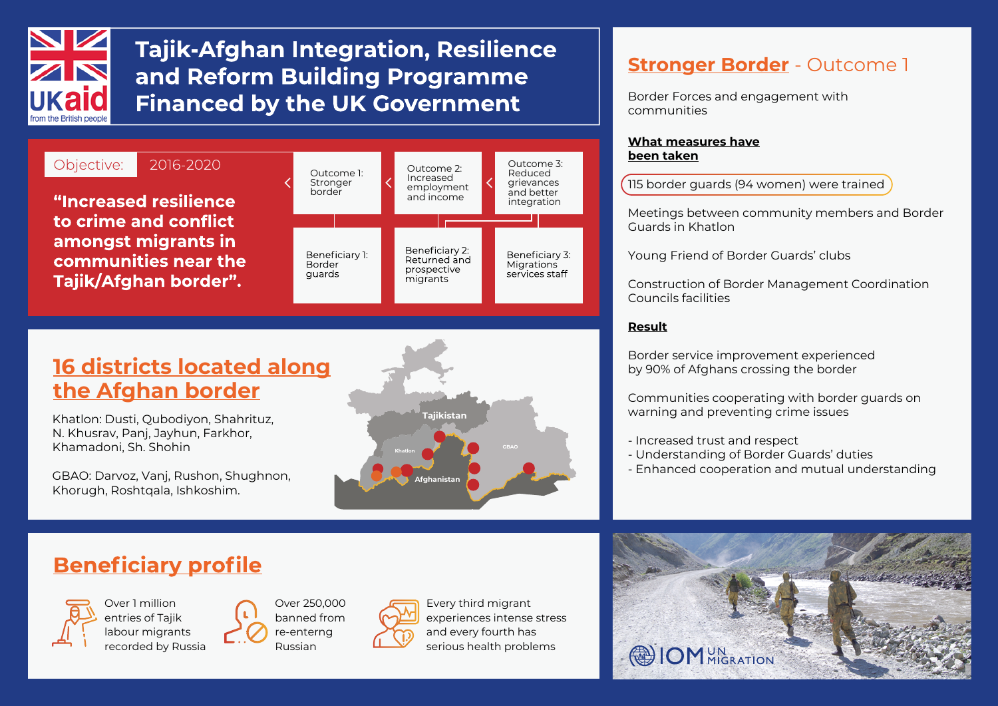

# **Tajik-Afghan Integration, Resilience** and Reform Building Programme **Financed by the UK Government**



### **16 districts located along the Afghan border**

Khatlon: Dusti, Qubodiyon, Shahrituz, N. Khusrav, Panj, Jayhun, Farkhor, Khamadoni, Sh. Shohin

GBAO: Darvoz, Vanj, Rushon, Shughnon, Khorugh, Roshtqala, Ishkoshim.



### **Stronger Border** - Outcome 1

Border Forces and engagement with communities

### **What measures have been taken**

115 border guards (94 women) were trained

Meetings between community members and Border Guards in Khatlon

Young Friend of Border Guards' clubs

Construction of Border Management Coordination Councils facilities

### **Result**

Border service improvement experienced by 90% of Afghans crossing the border

Communities cooperating with border guards on warning and preventing crime issues

- Increased trust and respect
- Understanding of Border Guards' duties
- Enhanced cooperation and mutual understanding

## **Beneficiary profile**



Over 1 million entries of Tajik labour migrants recorded by Russia Over 250,000 banned from re-enterng Russian



Every third migrant experiences intense stress and every fourth has serious health problems